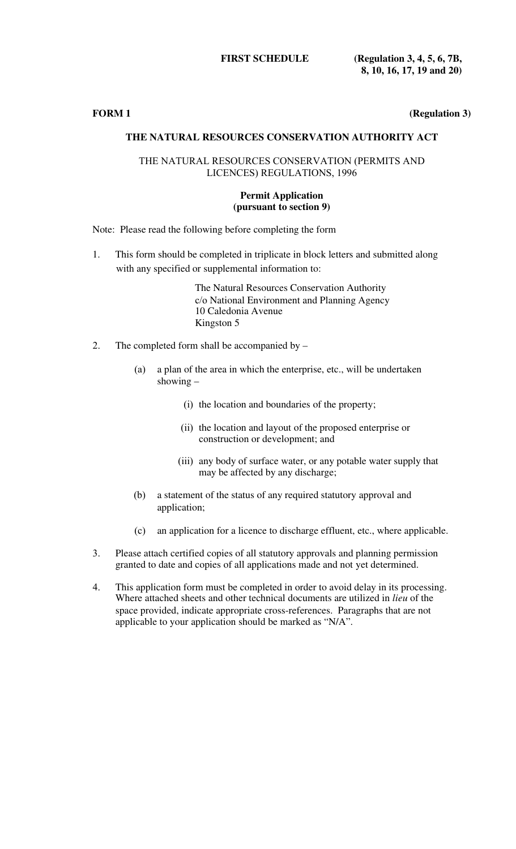**FIRST SCHEDULE (Regulation 3, 4, 5, 6, 7B, 8, 10, 16, 17, 19 and 20)**

**FORM 1 (Regulation 3)** 

# **THE NATURAL RESOURCES CONSERVATION AUTHORITY ACT**

## THE NATURAL RESOURCES CONSERVATION (PERMITS AND LICENCES) REGULATIONS, 1996

### **Permit Application (pursuant to section 9)**

Note: Please read the following before completing the form

1. This form should be completed in triplicate in block letters and submitted along with any specified or supplemental information to:

> The Natural Resources Conservation Authority c/o National Environment and Planning Agency 10 Caledonia Avenue Kingston 5

- 2. The completed form shall be accompanied by
	- (a) a plan of the area in which the enterprise, etc., will be undertaken showing –
		- (i) the location and boundaries of the property;
		- (ii) the location and layout of the proposed enterprise or construction or development; and
		- (iii) any body of surface water, or any potable water supply that may be affected by any discharge;
	- (b) a statement of the status of any required statutory approval and application;
	- (c) an application for a licence to discharge effluent, etc., where applicable.
- 3. Please attach certified copies of all statutory approvals and planning permission granted to date and copies of all applications made and not yet determined.
- 4. This application form must be completed in order to avoid delay in its processing. Where attached sheets and other technical documents are utilized in *lieu* of the space provided, indicate appropriate cross-references. Paragraphs that are not applicable to your application should be marked as "N/A".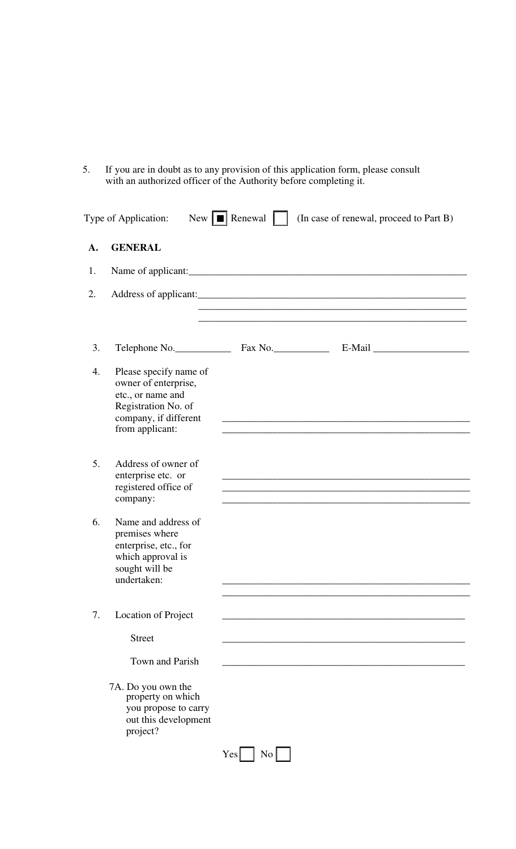5. If you are in doubt as to any provision of this application form, please consult with an authorized officer of the Authority before completing it.

| A. | <b>GENERAL</b>                                                                                                                         |                                                                                                                  |  |
|----|----------------------------------------------------------------------------------------------------------------------------------------|------------------------------------------------------------------------------------------------------------------|--|
| 1. |                                                                                                                                        |                                                                                                                  |  |
| 2. |                                                                                                                                        | and the control of the control of the control of the control of the control of the control of the control of the |  |
| 3. |                                                                                                                                        |                                                                                                                  |  |
| 4. | Please specify name of<br>owner of enterprise,<br>etc., or name and<br>Registration No. of<br>company, if different<br>from applicant: | the control of the control of the control of the control of the control of the control of the                    |  |
| 5. | Address of owner of<br>enterprise etc. or<br>registered office of<br>company:                                                          | <u> 1989 - Johann Stoff, Amerikaansk politiker (* 1958)</u>                                                      |  |
| 6. | Name and address of<br>premises where<br>enterprise, etc., for<br>which approval is<br>sought will be<br>undertaken:                   |                                                                                                                  |  |
| 7. | Location of Project                                                                                                                    |                                                                                                                  |  |
|    | <b>Street</b>                                                                                                                          |                                                                                                                  |  |
|    | Town and Parish                                                                                                                        |                                                                                                                  |  |
|    | 7A. Do you own the<br>property on which<br>you propose to carry<br>out this development<br>project?                                    |                                                                                                                  |  |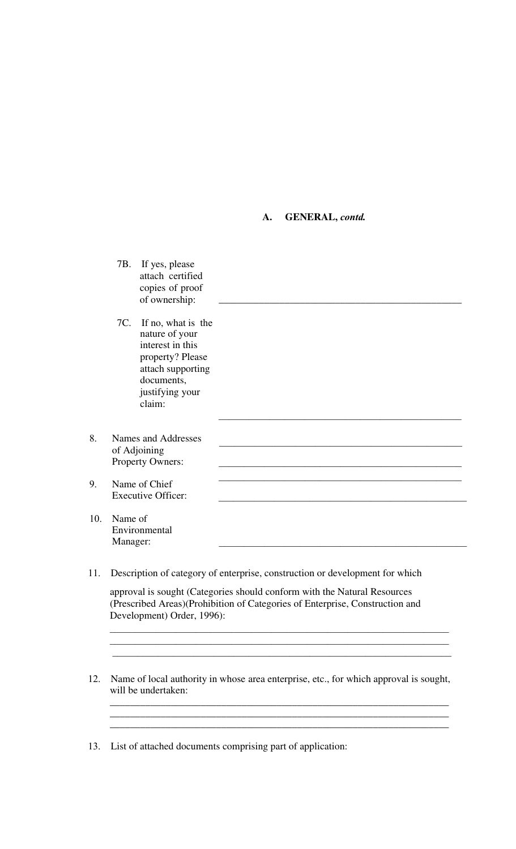#### **A. GENERAL,** *contd.*

|     |                     | 7B. If yes, please<br>attach certified<br>copies of proof<br>of ownership:                                                                       |  |
|-----|---------------------|--------------------------------------------------------------------------------------------------------------------------------------------------|--|
|     |                     | 7C. If no, what is the<br>nature of your<br>interest in this<br>property? Please<br>attach supporting<br>documents,<br>justifying your<br>claim: |  |
| 8.  |                     | Names and Addresses<br>of Adjoining<br>Property Owners:                                                                                          |  |
| 9.  |                     | Name of Chief<br><b>Executive Officer:</b>                                                                                                       |  |
| 10. | Name of<br>Manager: | Environmental                                                                                                                                    |  |

11. Description of category of enterprise, construction or development for which

approval is sought (Categories should conform with the Natural Resources (Prescribed Areas)(Prohibition of Categories of Enterprise, Construction and Development) Order, 1996):

 $\_$  ,  $\_$  ,  $\_$  ,  $\_$  ,  $\_$  ,  $\_$  ,  $\_$  ,  $\_$  ,  $\_$  ,  $\_$  ,  $\_$  ,  $\_$  ,  $\_$  ,  $\_$  ,  $\_$  ,  $\_$  ,  $\_$ 

12. Name of local authority in whose area enterprise, etc., for which approval is sought, will be undertaken:

\_\_\_\_\_\_\_\_\_\_\_\_\_\_\_\_\_\_\_\_\_\_\_\_\_\_\_\_\_\_\_\_\_\_\_\_\_\_\_\_\_\_\_\_\_\_\_\_\_\_\_\_\_\_\_\_\_\_\_\_\_\_\_\_\_\_\_

13. List of attached documents comprising part of application: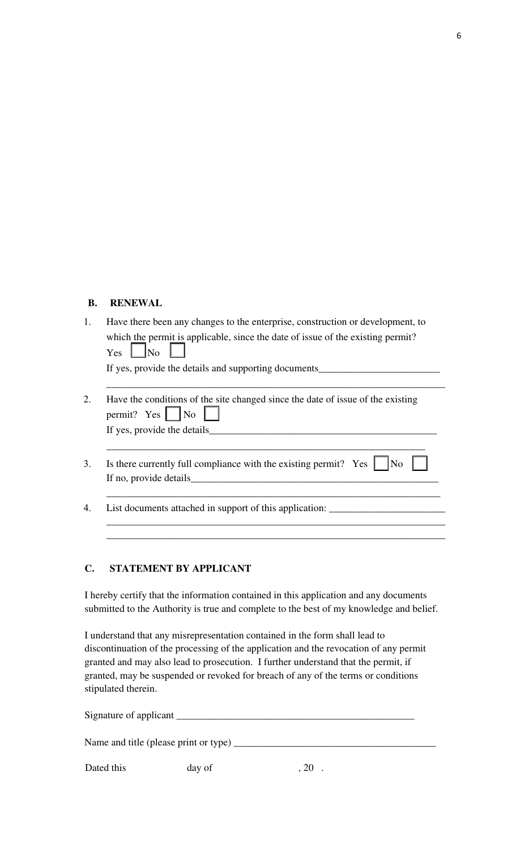## **B. RENEWAL**

| Have there been any changes to the enterprise, construction or development, to  |  |  |
|---------------------------------------------------------------------------------|--|--|
| which the permit is applicable, since the date of issue of the existing permit? |  |  |
| $Yes \tNo \tN$                                                                  |  |  |
| If yes, provide the details and supporting documents                            |  |  |
|                                                                                 |  |  |

- 2. Have the conditions of the site changed since the date of issue of the existing permit? Yes  $\vert$   $\vert$  No If yes, provide the details
- 3. Is there currently full compliance with the existing permit? Yes  $\parallel$  No If no, provide details

\_\_\_\_\_\_\_\_\_\_\_\_\_\_\_\_\_\_\_\_\_\_\_\_\_\_\_\_\_\_\_\_\_\_\_\_\_\_\_\_\_\_\_\_\_\_\_\_\_\_\_\_\_\_\_\_\_\_\_\_\_\_\_

\_\_\_\_\_\_\_\_\_\_\_\_\_\_\_\_\_\_\_\_\_\_\_\_\_\_\_\_\_\_\_\_\_\_\_\_\_\_\_\_\_\_\_\_\_\_\_\_\_\_\_\_\_\_\_\_\_\_\_\_\_\_\_\_\_\_

\_\_\_\_\_\_\_\_\_\_\_\_\_\_\_\_\_\_\_\_\_\_\_\_\_\_\_\_\_\_\_\_\_\_\_\_\_\_\_\_\_\_\_\_\_\_\_\_\_\_\_\_\_\_\_\_\_\_\_\_\_\_\_\_\_\_\_ \_\_\_\_\_\_\_\_\_\_\_\_\_\_\_\_\_\_\_\_\_\_\_\_\_\_\_\_\_\_\_\_\_\_\_\_\_\_\_\_\_\_\_\_\_\_\_\_\_\_\_\_\_\_\_\_\_\_\_\_\_\_\_\_\_\_\_

4. List documents attached in support of this application: \_\_\_\_\_\_\_\_\_\_\_\_\_\_\_\_\_\_\_\_\_\_\_

## **C. STATEMENT BY APPLICANT**

I hereby certify that the information contained in this application and any documents submitted to the Authority is true and complete to the best of my knowledge and belief.

I understand that any misrepresentation contained in the form shall lead to discontinuation of the processing of the application and the revocation of any permit granted and may also lead to prosecution. I further understand that the permit, if granted, may be suspended or revoked for breach of any of the terms or conditions stipulated therein.

| Signature of applicant                   |        |  |  |  |  |
|------------------------------------------|--------|--|--|--|--|
| Name and title (please print or type) __ |        |  |  |  |  |
| Dated this                               | day of |  |  |  |  |